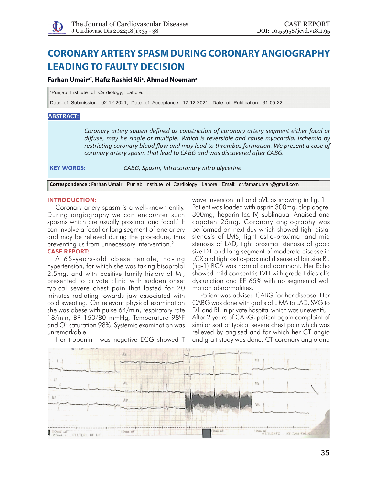# **Coronary artery spasm during coronary angiography leading to faulty decision**

## **Farhan Umaira\*, Hafiz Rashid Alia , Ahmad Noemana**

a Punjab Institute of Cardiology, Lahore.

Date of Submission: 02-12-2021; Date of Acceptance: 12-12-2021; Date of Publication: 31-05-22

### **ABSTRACT:**

*Coronary artery spasm defined as constriction of coronary artery segment either focal or diffuse, may be single or multiple. Which is reversible and cause myocardial ischemia by restricting coronary blood flow and may lead to thrombus formation. We present a case of coronary artery spasm that lead to CABG and was discovered after CABG.*

**KEY WORDS:** *CABG, Spasm, Intracoronary nitro glycerine*

**Correspondence : Farhan Umair**, Punjab Institute of Cardiology, Lahore. Email: dr.farhanumair@gmail.com

#### **Introduction:**

Coronary artery spasm is a well-known entity. During angiography we can encounter such spasms which are usually proximal and focal.<sup>1</sup> It can involve a focal or long segment of one artery and may be relieved during the procedure, thus preventing us from unnecessary intervention.<sup>2</sup>

## **CASE REPORT:**

A 65-years-old obese female, having hypertension, for which she was taking bisoprolol 2.5mg, and with positive family history of MI, presented to private clinic with sudden onset typical severe chest pain that lasted for 20 minutes radiating towards jaw associated with cold sweating. On relevant physical examination she was obese with pulse 64/min, respiratory rate 18/min, BP 150/80 mmHg, Temperature 98<sup>o</sup>F and  $O<sup>2</sup>$  saturation 98%. Systemic examination was unremarkable.

wave inversion in I and aVL as showing in fig. 1 Patient was loaded with asprin 300mg, clopidogrel 300mg, heparin Icc IV, sublingual Angised and capoten 25mg. Coronary angiography was performed on next day which showed tight distal stenosis of LMS, tight ostio-proximal and mid stenosis of LAD, tight proximal stenosis of good size D1 and long segment of moderate disease in LCX and tight ostio-proximal disease of fair size RI. (fig-1) RCA was normal and dominant. Her Echo showed mild concentric LVH with grade I diastolic dysfunction and EF 65% with no segmental wall motion abnormalities.

Patient was advised CABG for her disease. Her CABG was done with grafts of LIMA to LAD, SVG to D1 and RI, in private hospital which was uneventful. After 2 years of CABG, patient again complaint of similar sort of typical severe chest pain which was relieved by angised and for which her CT angio and graft study was done. CT coronary angio and



Her troponin I was negative ECG showed T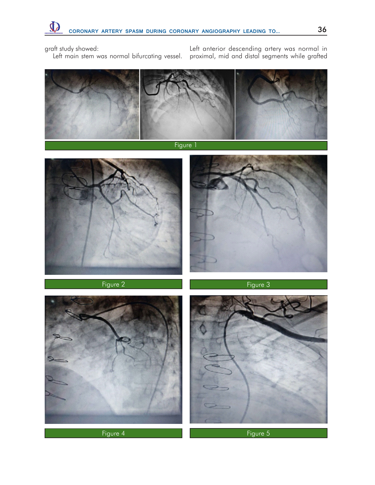graft study showed:

Left main stem was normal bifurcating vessel.

Left anterior descending artery was normal in proximal, mid and distal segments while grafted



Figure 1











Figure 4 Figure 5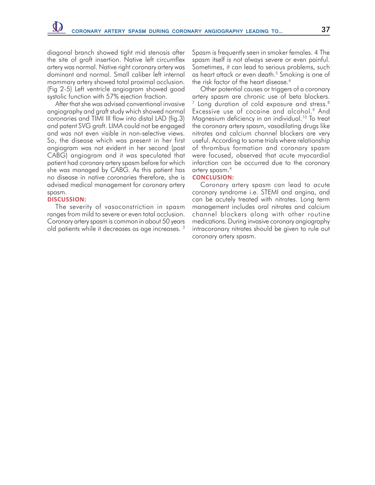diagonal branch showed tight mid stenosis after the site of graft insertion. Native left circumflex artery was normal. Native right coronary artery was dominant and normal. Small caliber left internal mammary artery showed total proximal occlusion. (Fig 2-5) Left ventricle angiogram showed good systolic function with 57% ejection fraction.

After that she was advised conventional invasive angiography and graft study which showed normal coronaries and TIMI III flow into distal LAD (fig.3) and patent SVG graft. LIMA could not be engaged and was not even visible in non-selective views. So, the disease which was present in her first angiogram was not evident in her second (post CABG) angiogram and it was speculated that patient had coronary artery spasm before for which she was managed by CABG. As this patient has no disease in native coronaries therefore, she is advised medical management for coronary artery spasm.

### **Discussion:**

The severity of vasoconstriction in spasm ranges from mild to severe or even total occlusion. Coronary artery spasm is common in about 50 years old patients while it decreases as age increases. 3

Spasm is frequently seen in smoker females. 4 The spasm itself is not always severe or even painful. Sometimes, it can lead to serious problems, such as heart attack or even death.<sup>5</sup> Smoking is one of the risk factor of the heart disease.<sup>6</sup>

Other potential causes or triggers of a coronary artery spasm are chronic use of beta blockers.  $7$  Long duration of cold exposure and stress.<sup>8</sup> Excessive use of cocaine and alcohol.<sup>9</sup> And Magnesium deficiency in an individual.<sup>10</sup> To treat the coronary artery spasm, vasodilating drugs like nitrates and calcium channel blockers are very useful. According to some trials where relationship of thrombus formation and coronary spasm were focused, observed that acute myocardial infarction can be occurred due to the coronary artery spasm.4

#### **Conclusion:**

Coronary artery spasm can lead to acute coronary syndrome i.e. STEMI and angina, and can be acutely treated with nitrates. Long term management includes oral nitrates and calcium channel blockers along with other routine medications. During invasive coronary angiography intracoronary nitrates should be given to rule out coronary artery spasm.